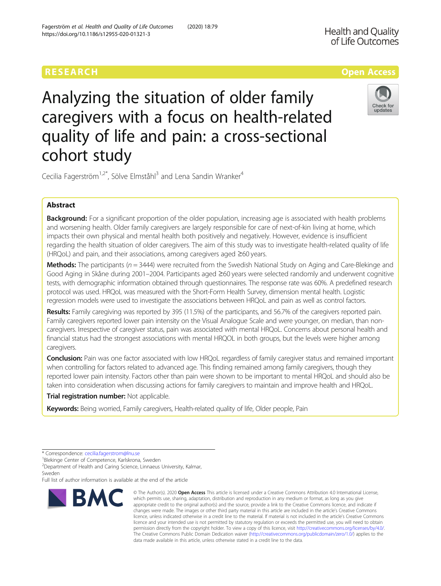# Analyzing the situation of older family caregivers with a focus on health-related quality of life and pain: a cross-sectional cohort study



Cecilia Fagerström<sup>1,2\*</sup>, Sölve Elmståhl<sup>3</sup> and Lena Sandin Wranker<sup>4</sup>

## Abstract

Background: For a significant proportion of the older population, increasing age is associated with health problems and worsening health. Older family caregivers are largely responsible for care of next-of-kin living at home, which impacts their own physical and mental health both positively and negatively. However, evidence is insufficient regarding the health situation of older caregivers. The aim of this study was to investigate health-related quality of life (HRQoL) and pain, and their associations, among caregivers aged ≥60 years.

**Methods:** The participants ( $n = 3444$ ) were recruited from the Swedish National Study on Aging and Care-Blekinge and Good Aging in Skåne during 2001–2004. Participants aged ≥60 years were selected randomly and underwent cognitive tests, with demographic information obtained through questionnaires. The response rate was 60%. A predefined research protocol was used. HRQoL was measured with the Short-Form Health Survey, dimension mental health. Logistic regression models were used to investigate the associations between HRQoL and pain as well as control factors.

Results: Family caregiving was reported by 395 (11.5%) of the participants, and 56.7% of the caregivers reported pain. Family caregivers reported lower pain intensity on the Visual Analogue Scale and were younger, on median, than noncaregivers. Irrespective of caregiver status, pain was associated with mental HRQoL. Concerns about personal health and financial status had the strongest associations with mental HRQOL in both groups, but the levels were higher among caregivers.

**Conclusion:** Pain was one factor associated with low HRQoL regardless of family caregiver status and remained important when controlling for factors related to advanced age. This finding remained among family caregivers, though they reported lower pain intensity. Factors other than pain were shown to be important to mental HRQoL and should also be taken into consideration when discussing actions for family caregivers to maintain and improve health and HRQoL.

Trial registration number: Not applicable.

Keywords: Being worried, Family caregivers, Health-related quality of life, Older people, Pain

<sup>1</sup>Blekinge Center of Competence, Karlskrona, Sweden

2 Department of Health and Caring Science, Linnaeus University, Kalmar, Sweden

Full list of author information is available at the end of the article



<sup>©</sup> The Author(s), 2020 **Open Access** This article is licensed under a Creative Commons Attribution 4.0 International License, which permits use, sharing, adaptation, distribution and reproduction in any medium or format, as long as you give appropriate credit to the original author(s) and the source, provide a link to the Creative Commons licence, and indicate if changes were made. The images or other third party material in this article are included in the article's Creative Commons licence, unless indicated otherwise in a credit line to the material. If material is not included in the article's Creative Commons licence and your intended use is not permitted by statutory regulation or exceeds the permitted use, you will need to obtain permission directly from the copyright holder. To view a copy of this licence, visit [http://creativecommons.org/licenses/by/4.0/.](http://creativecommons.org/licenses/by/4.0/) The Creative Commons Public Domain Dedication waiver [\(http://creativecommons.org/publicdomain/zero/1.0/](http://creativecommons.org/publicdomain/zero/1.0/)) applies to the data made available in this article, unless otherwise stated in a credit line to the data.

<sup>\*</sup> Correspondence: [cecilia.fagerstrom@lnu.se](mailto:cecilia.fagerstrom@lnu.se) <sup>1</sup>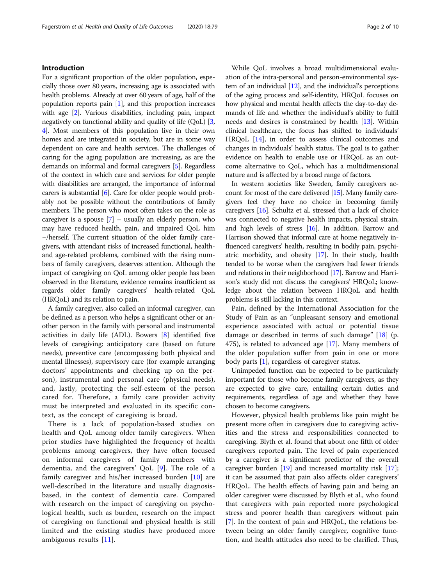## Introduction

For a significant proportion of the older population, especially those over 80 years, increasing age is associated with health problems. Already at over 60 years of age, half of the population reports pain [[1](#page-9-0)], and this proportion increases with age [\[2\]](#page-9-0). Various disabilities, including pain, impact negatively on functional ability and quality of life (QoL) [[3](#page-9-0), [4](#page-9-0)]. Most members of this population live in their own homes and are integrated in society, but are in some way dependent on care and health services. The challenges of caring for the aging population are increasing, as are the demands on informal and formal caregivers [\[5](#page-9-0)]. Regardless of the context in which care and services for older people with disabilities are arranged, the importance of informal carers is substantial [\[6](#page-9-0)]. Care for older people would probably not be possible without the contributions of family members. The person who most often takes on the role as caregiver is a spouse  $[7]$  $[7]$  $[7]$  – usually an elderly person, who may have reduced health, pain, and impaired QoL him −/herself. The current situation of the older family caregivers, with attendant risks of increased functional, healthand age-related problems, combined with the rising numbers of family caregivers, deserves attention. Although the impact of caregiving on QoL among older people has been observed in the literature, evidence remains insufficient as regards older family caregivers' health-related QoL (HRQoL) and its relation to pain.

A family caregiver, also called an informal caregiver, can be defined as a person who helps a significant other or another person in the family with personal and instrumental activities in daily life (ADL). Bowers [[8\]](#page-9-0) identified five levels of caregiving: anticipatory care (based on future needs), preventive care (encompassing both physical and mental illnesses), supervisory care (for example arranging doctors' appointments and checking up on the person), instrumental and personal care (physical needs), and, lastly, protecting the self-esteem of the person cared for. Therefore, a family care provider activity must be interpreted and evaluated in its specific context, as the concept of caregiving is broad.

There is a lack of population-based studies on health and QoL among older family caregivers. When prior studies have highlighted the frequency of health problems among caregivers, they have often focused on informal caregivers of family members with dementia, and the caregivers' QoL [\[9](#page-9-0)]. The role of a family caregiver and his/her increased burden [[10\]](#page-9-0) are well-described in the literature and usually diagnosisbased, in the context of dementia care. Compared with research on the impact of caregiving on psychological health, such as burden, research on the impact of caregiving on functional and physical health is still limited and the existing studies have produced more ambiguous results [\[11](#page-9-0)].

While QoL involves a broad multidimensional evaluation of the intra-personal and person-environmental system of an individual  $[12]$  $[12]$  $[12]$ , and the individual's perceptions of the aging process and self-identity, HRQoL focuses on how physical and mental health affects the day-to-day demands of life and whether the individual's ability to fulfil needs and desires is constrained by health [[13](#page-9-0)]. Within clinical healthcare, the focus has shifted to individuals' HRQoL [[14](#page-9-0)], in order to assess clinical outcomes and changes in individuals' health status. The goal is to gather evidence on health to enable use or HRQoL as an outcome alternative to QoL, which has a multidimensional nature and is affected by a broad range of factors.

In western societies like Sweden, family caregivers account for most of the care delivered [\[15\]](#page-9-0). Many family caregivers feel they have no choice in becoming family caregivers [\[16](#page-9-0)]. Schultz et al. stressed that a lack of choice was connected to negative health impacts, physical strain, and high levels of stress [[16](#page-9-0)]. In addition, Barrow and Harrison showed that informal care at home negatively influenced caregivers' health, resulting in bodily pain, psychiatric morbidity, and obesity [[17](#page-9-0)]. In their study, health tended to be worse when the caregivers had fewer friends and relations in their neighborhood [\[17\]](#page-9-0). Barrow and Harrison's study did not discuss the caregivers' HRQoL; knowledge about the relation between HRQoL and health problems is still lacking in this context.

Pain, defined by the International Association for the Study of Pain as an "unpleasant sensory and emotional experience associated with actual or potential tissue damage or described in terms of such damage" [\[18\]](#page-9-0) (p. 475), is related to advanced age [[17](#page-9-0)]. Many members of the older population suffer from pain in one or more body parts [[1\]](#page-9-0), regardless of caregiver status.

Unimpeded function can be expected to be particularly important for those who become family caregivers, as they are expected to give care, entailing certain duties and requirements, regardless of age and whether they have chosen to become caregivers.

However, physical health problems like pain might be present more often in caregivers due to caregiving activities and the stress and responsibilities connected to caregiving. Blyth et al. found that about one fifth of older caregivers reported pain. The level of pain experienced by a caregiver is a significant predictor of the overall caregiver burden [[19\]](#page-9-0) and increased mortality risk [\[17](#page-9-0)]; it can be assumed that pain also affects older caregivers' HRQoL. The health effects of having pain and being an older caregiver were discussed by Blyth et al., who found that caregivers with pain reported more psychological stress and poorer health than caregivers without pain [[7\]](#page-9-0). In the context of pain and HRQoL, the relations between being an older family caregiver, cognitive function, and health attitudes also need to be clarified. Thus,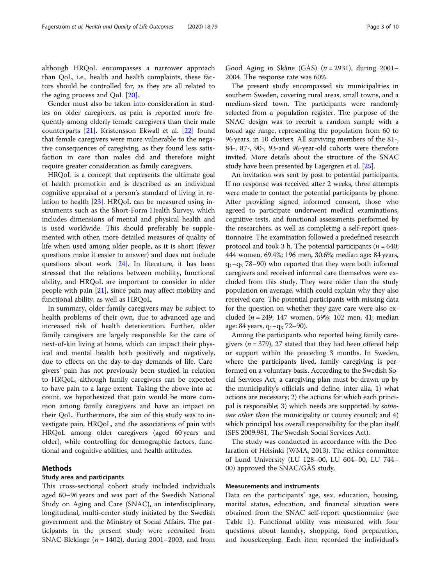although HRQoL encompasses a narrower approach than QoL, i.e., health and health complaints, these factors should be controlled for, as they are all related to the aging process and QoL [[20\]](#page-9-0).

Gender must also be taken into consideration in studies on older caregivers, as pain is reported more frequently among elderly female caregivers than their male counterparts [\[21](#page-9-0)]. Kristensson Ekwall et al. [[22\]](#page-9-0) found that female caregivers were more vulnerable to the negative consequences of caregiving, as they found less satisfaction in care than males did and therefore might require greater consideration as family caregivers.

HRQoL is a concept that represents the ultimate goal of health promotion and is described as an individual cognitive appraisal of a person's standard of living in relation to health [[23\]](#page-9-0). HRQoL can be measured using instruments such as the Short-Form Health Survey, which includes dimensions of mental and physical health and is used worldwide. This should preferably be supplemented with other, more detailed measures of quality of life when used among older people, as it is short (fewer questions make it easier to answer) and does not include questions about work [[24\]](#page-9-0). In literature, it has been stressed that the relations between mobility, functional ability, and HRQoL are important to consider in older people with pain [\[21](#page-9-0)], since pain may affect mobility and functional ability, as well as HRQoL.

In summary, older family caregivers may be subject to health problems of their own, due to advanced age and increased risk of health deterioration. Further, older family caregivers are largely responsible for the care of next-of-kin living at home, which can impact their physical and mental health both positively and negatively, due to effects on the day-to-day demands of life. Caregivers' pain has not previously been studied in relation to HRQoL, although family caregivers can be expected to have pain to a large extent. Taking the above into account, we hypothesized that pain would be more common among family caregivers and have an impact on their QoL. Furthermore, the aim of this study was to investigate pain, HRQoL, and the associations of pain with HRQoL among older caregivers (aged 60 years and older), while controlling for demographic factors, functional and cognitive abilities, and health attitudes.

## Methods

## Study area and participants

This cross-sectional cohort study included individuals aged 60–96 years and was part of the Swedish National Study on Aging and Care (SNAC), an interdisciplinary, longitudinal, multi-center study initiated by the Swedish government and the Ministry of Social Affairs. The participants in the present study were recruited from SNAC-Blekinge ( $n = 1402$ ), during 2001–2003, and from

Good Aging in Skåne (GÅS) ( $n = 2931$ ), during 2001– 2004. The response rate was 60%.

The present study encompassed six municipalities in southern Sweden, covering rural areas, small towns, and a medium-sized town. The participants were randomly selected from a population register. The purpose of the SNAC design was to recruit a random sample with a broad age range, representing the population from 60 to 96 years, in 10 clusters. All surviving members of the 81-, 84-, 87-, 90-, 93-and 96-year-old cohorts were therefore invited. More details about the structure of the SNAC study have been presented by Lagergren et al. [\[25\]](#page-9-0).

An invitation was sent by post to potential participants. If no response was received after 2 weeks, three attempts were made to contact the potential participants by phone. After providing signed informed consent, those who agreed to participate underwent medical examinations, cognitive tests, and functional assessments performed by the researchers, as well as completing a self-report questionnaire. The examination followed a predefined research protocol and took 3 h. The potential participants ( $n = 640$ ; 444 women, 69.4%; 196 men, 30.6%; median age: 84 years,  $q_1 - q_3$  78–90) who reported that they were both informal caregivers and received informal care themselves were excluded from this study. They were older than the study population on average, which could explain why they also received care. The potential participants with missing data for the question on whether they gave care were also excluded ( $n = 249$ ; 147 women, 59%; 102 men, 41; median age: 84 years,  $q_1 - q_3$  72–90).

Among the participants who reported being family caregivers ( $n = 379$ ), 27 stated that they had been offered help or support within the preceding 3 months. In Sweden, where the participants lived, family caregiving is performed on a voluntary basis. According to the Swedish Social Services Act, a caregiving plan must be drawn up by the municipality's officials and define, inter alia, 1) what actions are necessary; 2) the actions for which each principal is responsible; 3) which needs are supported by someone other than the municipality or county council; and 4) which principal has overall responsibility for the plan itself (SFS 2009:981, The Swedish Social Services Act).

The study was conducted in accordance with the Declaration of Helsinki (WMA, 2013). The ethics committee of Lund University (LU 128–00, LU 604–00, LU 744– 00) approved the SNAC/GÅS study.

## Measurements and instruments

Data on the participants' age, sex, education, housing, marital status, education, and financial situation were obtained from the SNAC self-report questionnaire (see Table [1\)](#page-3-0). Functional ability was measured with four questions about laundry, shopping, food preparation, and housekeeping. Each item recorded the individual's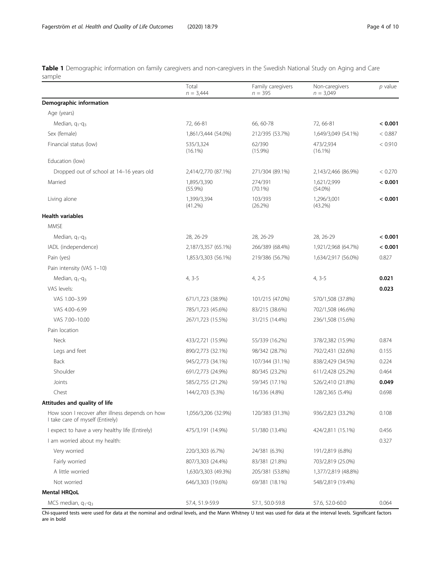<span id="page-3-0"></span>Table 1 Demographic information on family caregivers and non-caregivers in the Swedish National Study on Aging and Care sample

|                                                                                     | Total<br>$n = 3,444$      | Family caregivers<br>$n = 395$ | Non-caregivers<br>$n = 3,049$ | $p$ value |
|-------------------------------------------------------------------------------------|---------------------------|--------------------------------|-------------------------------|-----------|
| Demographic information                                                             |                           |                                |                               |           |
| Age (years)                                                                         |                           |                                |                               |           |
| Median, $q_1$ - $q_3$                                                               | 72, 66-81                 | 66, 60-78                      | 72, 66-81                     | < 0.001   |
| Sex (female)                                                                        | 1,861/3,444 (54.0%)       | 212/395 (53.7%)                | 1,649/3,049 (54.1%)           | < 0.887   |
| Financial status (low)                                                              | 535/3,324<br>$(16.1\%)$   | 62/390<br>$(15.9\%)$           | 473/2,934<br>$(16.1\%)$       | < 0.910   |
| Education (low)                                                                     |                           |                                |                               |           |
| Dropped out of school at 14-16 years old                                            | 2,414/2,770 (87.1%)       | 271/304 (89.1%)                | 2,143/2,466 (86.9%)           | < 0.270   |
| Married                                                                             | 1.895/3.390<br>$(55.9\%)$ | 274/391<br>$(70.1\%)$          | 1,621/2,999<br>$(54.0\%)$     | < 0.001   |
| Living alone                                                                        | 1,399/3,394<br>(41.2%)    | 103/393<br>(26.2%)             | 1,296/3,001<br>(43.2%)        | < 0.001   |
| <b>Health variables</b>                                                             |                           |                                |                               |           |
| <b>MMSE</b>                                                                         |                           |                                |                               |           |
| Median, $q_1$ - $q_3$                                                               | 28, 26-29                 | 28, 26-29                      | 28, 26-29                     | < 0.001   |
| IADL (independence)                                                                 | 2,187/3,357 (65.1%)       | 266/389 (68.4%)                | 1,921/2,968 (64.7%)           | < 0.001   |
| Pain (yes)                                                                          | 1,853/3,303 (56.1%)       | 219/386 (56.7%)                | 1,634/2,917 (56.0%)           | 0.827     |
| Pain intensity (VAS 1-10)                                                           |                           |                                |                               |           |
| Median, q <sub>1</sub> -q <sub>3</sub>                                              | $4, 3-5$                  | $4, 2-5$                       | $4, 3-5$                      | 0.021     |
| VAS levels:                                                                         |                           |                                |                               | 0.023     |
| VAS 1.00-3.99                                                                       | 671/1,723 (38.9%)         | 101/215 (47.0%)                | 570/1,508 (37.8%)             |           |
| VAS 4.00-6.99                                                                       | 785/1,723 (45.6%)         | 83/215 (38.6%)                 | 702/1,508 (46.6%)             |           |
| VAS 7.00-10.00                                                                      | 267/1,723 (15.5%)         | 31/215 (14.4%)                 | 236/1,508 (15.6%)             |           |
| Pain location                                                                       |                           |                                |                               |           |
| <b>Neck</b>                                                                         | 433/2,721 (15.9%)         | 55/339 (16.2%)                 | 378/2,382 (15.9%)             | 0.874     |
| Legs and feet                                                                       | 890/2,773 (32.1%)         | 98/342 (28.7%)                 | 792/2,431 (32.6%)             | 0.155     |
| <b>Back</b>                                                                         | 945/2,773 (34.1%)         | 107/344 (31.1%)                | 838/2,429 (34.5%)             | 0.224     |
| Shoulder                                                                            | 691/2,773 (24.9%)         | 80/345 (23.2%)                 | 611/2,428 (25.2%)             | 0.464     |
| Joints                                                                              | 585/2,755 (21.2%)         | 59/345 (17.1%)                 | 526/2,410 (21.8%)             | 0.049     |
| Chest                                                                               | 144/2,703 (5.3%)          | 16/336 (4.8%)                  | 128/2,365 (5.4%)              | 0.698     |
| Attitudes and quality of life                                                       |                           |                                |                               |           |
| How soon I recover after illness depends on how<br>I take care of myself (Entirely) | 1,056/3,206 (32.9%)       | 120/383 (31.3%)                | 936/2,823 (33.2%)             | 0.108     |
| I expect to have a very healthy life (Entirely)                                     | 475/3,191 (14.9%)         | 51/380 (13.4%)                 | 424/2,811 (15.1%)             | 0.456     |
| I am worried about my health:                                                       |                           |                                |                               | 0.327     |
| Very worried                                                                        | 220/3,303 (6.7%)          | 24/381 (6.3%)                  | 191/2,819 (6.8%)              |           |
| Fairly worried                                                                      | 807/3,303 (24.4%)         | 83/381 (21.8%)                 | 703/2,819 (25.0%)             |           |
| A little worried                                                                    | 1,630/3,303 (49.3%)       | 205/381 (53.8%)                | 1,377/2,819 (48.8%)           |           |
| Not worried                                                                         | 646/3,303 (19.6%)         | 69/381 (18.1%)                 | 548/2,819 (19.4%)             |           |
| <b>Mental HRQoL</b>                                                                 |                           |                                |                               |           |
| MCS median, $q_1 - q_3$                                                             | 57.4, 51.9-59.9           | 57.1, 50.0-59.8                | 57.6, 52.0-60.0               | 0.064     |

Chi-squared tests were used for data at the nominal and ordinal levels, and the Mann Whitney U test was used for data at the interval levels. Significant factors are in bold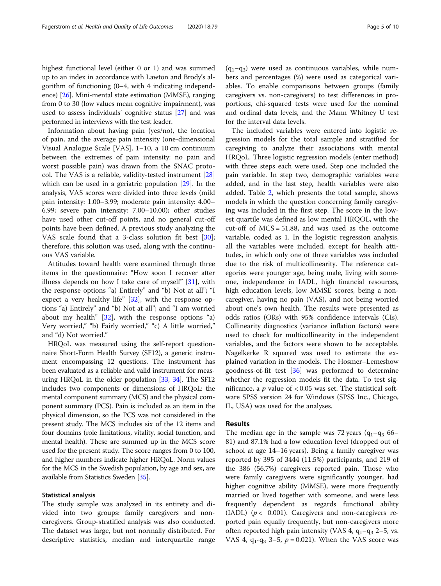highest functional level (either 0 or 1) and was summed up to an index in accordance with Lawton and Brody's algorithm of functioning (0–4, with 4 indicating independence) [[26\]](#page-9-0). Mini-mental state estimation (MMSE), ranging from 0 to 30 (low values mean cognitive impairment), was used to assess individuals' cognitive status [[27](#page-9-0)] and was performed in interviews with the test leader.

Information about having pain (yes/no), the location of pain, and the average pain intensity (one-dimensional Visual Analogue Scale [VAS], 1–10, a 10 cm continuum between the extremes of pain intensity: no pain and worst possible pain) was drawn from the SNAC protocol. The VAS is a reliable, validity-tested instrument [[28](#page-9-0)] which can be used in a geriatric population [\[29](#page-9-0)]. In the analysis, VAS scores were divided into three levels (mild pain intensity: 1.00–3.99; moderate pain intensity: 4.00– 6.99; severe pain intensity: 7.00–10.00); other studies have used other cut-off points, and no general cut-off points have been defined. A previous study analyzing the VAS scale found that a 3-class solution fit best [\[30](#page-9-0)]; therefore, this solution was used, along with the continuous VAS variable.

Attitudes toward health were examined through three items in the questionnaire: "How soon I recover after illness depends on how I take care of myself" [[31\]](#page-9-0), with the response options "a) Entirely" and "b) Not at all"; "I expect a very healthy life" [\[32](#page-9-0)], with the response options "a) Entirely" and "b) Not at all"; and "I am worried about my health"  $[32]$  $[32]$ , with the response options "a) Very worried," "b) Fairly worried," "c) A little worried," and "d) Not worried."

HRQoL was measured using the self-report questionnaire Short-Form Health Survey (SF12), a generic instrument encompassing 12 questions. The instrument has been evaluated as a reliable and valid instrument for measuring HRQoL in the older population [[33](#page-9-0), [34\]](#page-9-0). The SF12 includes two components or dimensions of HRQoL: the mental component summary (MCS) and the physical component summary (PCS). Pain is included as an item in the physical dimension, so the PCS was not considered in the present study. The MCS includes six of the 12 items and four domains (role limitations, vitality, social function, and mental health). These are summed up in the MCS score used for the present study. The score ranges from 0 to 100, and higher numbers indicate higher HRQoL. Norm values for the MCS in the Swedish population, by age and sex, are available from Statistics Sweden [\[35\]](#page-9-0).

## Statistical analysis

The study sample was analyzed in its entirety and divided into two groups: family caregivers and noncaregivers. Group-stratified analysis was also conducted. The dataset was large, but not normally distributed. For descriptive statistics, median and interquartile range

 $(q_1-q_3)$  were used as continuous variables, while numbers and percentages (%) were used as categorical variables. To enable comparisons between groups (family caregivers vs. non-caregivers) to test differences in proportions, chi-squared tests were used for the nominal and ordinal data levels, and the Mann Whitney U test for the interval data levels.

The included variables were entered into logistic regression models for the total sample and stratified for caregiving to analyze their associations with mental HRQoL. Three logistic regression models (enter method) with three steps each were used. Step one included the pain variable. In step two, demographic variables were added, and in the last step, health variables were also added. Table [2](#page-5-0), which presents the total sample, shows models in which the question concerning family caregiving was included in the first step. The score in the lowest quartile was defined as low mental HRQOL, with the cut-off of MCS = 51.88, and was used as the outcome variable, coded as 1. In the logistic regression analysis, all the variables were included, except for health attitudes, in which only one of three variables was included due to the risk of multicollinearity. The reference categories were younger age, being male, living with someone, independence in IADL, high financial resources, high education levels, low MMSE scores, being a noncaregiver, having no pain (VAS), and not being worried about one's own health. The results were presented as odds ratios (ORs) with 95% confidence intervals (CIs). Collinearity diagnostics (variance inflation factors) were used to check for multicollinearity in the independent variables, and the factors were shown to be acceptable. Nagelkerke R squared was used to estimate the explained variation in the models. The Hosmer–Lemeshow goodness-of-fit test [\[36\]](#page-9-0) was performed to determine whether the regression models fit the data. To test significance, a  $p$  value of < 0.05 was set. The statistical software SPSS version 24 for Windows (SPSS Inc., Chicago, IL, USA) was used for the analyses.

## Results

The median age in the sample was 72 years  $(q_1-q_3)$  66– 81) and 87.1% had a low education level (dropped out of school at age 14–16 years). Being a family caregiver was reported by 395 of 3444 (11.5%) participants, and 219 of the 386 (56.7%) caregivers reported pain. Those who were family caregivers were significantly younger, had higher cognitive ability (MMSE), were more frequently married or lived together with someone, and were less frequently dependent as regards functional ability (IADL) ( $p < 0.001$ ). Caregivers and non-caregivers reported pain equally frequently, but non-caregivers more often reported high pain intensity (VAS 4,  $q_1$ – $q_3$  2–5, vs. VAS 4,  $q_1 - q_3$  3–5,  $p = 0.021$ ). When the VAS score was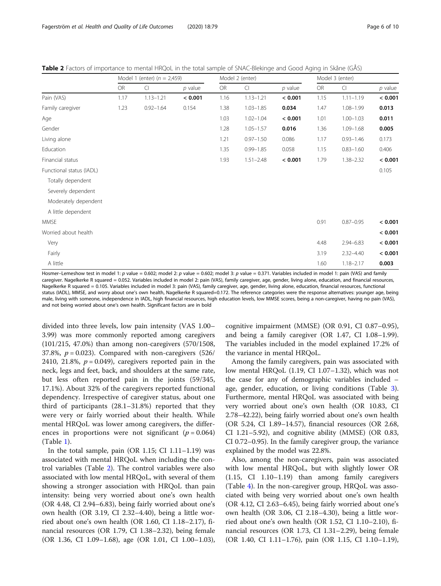<span id="page-5-0"></span>

| Table 2 Factors of importance to mental HRQoL in the total sample of SNAC-Blekinge and Good Aging in Skåne (GÅS) |  |  |  |  |  |
|------------------------------------------------------------------------------------------------------------------|--|--|--|--|--|
|                                                                                                                  |  |  |  |  |  |

|                          |      | Model 1 (enter) ( $n = 2,459$ ) |           |           | Model 2 (enter) |           | Model 3 (enter) |                |           |
|--------------------------|------|---------------------------------|-----------|-----------|-----------------|-----------|-----------------|----------------|-----------|
|                          | OR   | CI                              | $p$ value | <b>OR</b> | $\Box$          | $p$ value | OR              | $\overline{C}$ | $p$ value |
| Pain (VAS)               | 1.17 | $1.13 - 1.21$                   | < 0.001   | 1.16      | $1.13 - 1.21$   | < 0.001   | 1.15            | $1.11 - 1.19$  | < 0.001   |
| Family caregiver         | 1.23 | $0.92 - 1.64$                   | 0.154     | 1.38      | $1.03 - 1.85$   | 0.034     | 1.47            | $1.08 - 1.99$  | 0.013     |
| Age                      |      |                                 |           | 1.03      | $1.02 - 1.04$   | < 0.001   | 1.01            | $1.00 - 1.03$  | 0.011     |
| Gender                   |      |                                 |           | 1.28      | $1.05 - 1.57$   | 0.016     | 1.36            | $1.09 - 1.68$  | 0.005     |
| Living alone             |      |                                 |           | 1.21      | $0.97 - 1.50$   | 0.086     | 1.17            | $0.93 - 1.46$  | 0.173     |
| Education                |      |                                 |           | 1.35      | $0.99 - 1.85$   | 0.058     | 1.15            | $0.83 - 1.60$  | 0.406     |
| Financial status         |      |                                 |           | 1.93      | $1.51 - 2.48$   | < 0.001   | 1.79            | $1.38 - 2.32$  | < 0.001   |
| Functional status (IADL) |      |                                 |           |           |                 |           |                 |                | 0.105     |
| Totally dependent        |      |                                 |           |           |                 |           |                 |                |           |
| Severely dependent       |      |                                 |           |           |                 |           |                 |                |           |
| Moderately dependent     |      |                                 |           |           |                 |           |                 |                |           |
| A little dependent       |      |                                 |           |           |                 |           |                 |                |           |
| <b>MMSE</b>              |      |                                 |           |           |                 |           | 0.91            | $0.87 - 0.95$  | < 0.001   |
| Worried about health     |      |                                 |           |           |                 |           |                 |                | < 0.001   |
| Very                     |      |                                 |           |           |                 |           | 4.48            | $2.94 - 6.83$  | < 0.001   |
| Fairly                   |      |                                 |           |           |                 |           | 3.19            | $2.32 - 4.40$  | < 0.001   |
| A little                 |      |                                 |           |           |                 |           | 1.60            | $1.18 - 2.17$  | 0.003     |

Hosmer–Lemeshow test in model 1: p value = 0.602; model 2: p value = 0.602; model 3: p value = 0.371. Variables included in model 1: pain (VAS) and family caregiver. Nagelkerke R squared = 0.052. Variables included in model 2: pain (VAS), family caregiver, age, gender, living alone, education, and financial resources, Nagelkerke R squared = 0.105. Variables included in model 3: pain (VAS), family caregiver, age, gender, living alone, education, financial resources, functional status (IADL), MMSE, and worry about one's own health, Nagelkerke R squared=0.172. The reference categories were the response alternatives: younger age, being male, living with someone, independence in IADL, high financial resources, high education levels, low MMSE scores, being a non-caregiver, having no pain (VAS), and not being worried about one's own health. Significant factors are in bold

divided into three levels, low pain intensity (VAS 1.00– 3.99) was more commonly reported among caregivers (101/215, 47.0%) than among non-caregivers (570/1508, 37.8%,  $p = 0.023$ ). Compared with non-caregivers (526/ 2410, 21.8%,  $p = 0.049$ ), caregivers reported pain in the neck, legs and feet, back, and shoulders at the same rate, but less often reported pain in the joints (59/345, 17.1%). About 32% of the caregivers reported functional dependency. Irrespective of caregiver status, about one third of participants (28.1–31.8%) reported that they were very or fairly worried about their health. While mental HRQoL was lower among caregivers, the differences in proportions were not significant ( $p = 0.064$ ) (Table [1](#page-3-0)).

In the total sample, pain (OR  $1.15$ ; CI  $1.11-1.19$ ) was associated with mental HRQoL when including the control variables (Table 2). The control variables were also associated with low mental HRQoL, with several of them showing a stronger association with HRQoL than pain intensity: being very worried about one's own health (OR 4.48, CI 2.94–6.83), being fairly worried about one's own health (OR 3.19, CI 2.32–4.40), being a little worried about one's own health (OR 1.60, CI 1.18–2.17), financial resources (OR 1.79, CI 1.38–2.32), being female (OR 1.36, CI 1.09–1.68), age (OR 1.01, CI 1.00–1.03), cognitive impairment (MMSE) (OR 0.91, CI 0.87–0.95), and being a family caregiver (OR 1.47, CI 1.08–1.99). The variables included in the model explained 17.2% of the variance in mental HRQoL.

Among the family caregivers, pain was associated with low mental HRQoL (1.19, CI 1.07–1.32), which was not the case for any of demographic variables included – age, gender, education, or living conditions (Table [3](#page-6-0)). Furthermore, mental HRQoL was associated with being very worried about one's own health (OR 10.83, CI 2.78–42.22), being fairly worried about one's own health (OR 5.24, CI 1.89–14.57), financial resources (OR 2.68, CI 1.21–5.92), and cognitive ability (MMSE) (OR 0.83, CI 0.72–0.95). In the family caregiver group, the variance explained by the model was 22.8%.

Also, among the non-caregivers, pain was associated with low mental HRQoL, but with slightly lower OR (1.15, CI 1.10–1.19) than among family caregivers (Table [4](#page-7-0)). In the non-caregiver group, HRQoL was associated with being very worried about one's own health (OR 4.12, CI 2.63–6.45), being fairly worried about one's own health (OR 3.06, CI 2.18–4.30), being a little worried about one's own health (OR 1.52, CI 1.10–2.10), financial resources (OR 1.73, CI 1.31–2.29), being female (OR 1.40, CI 1.11–1.76), pain (OR 1.15, CI 1.10–1.19),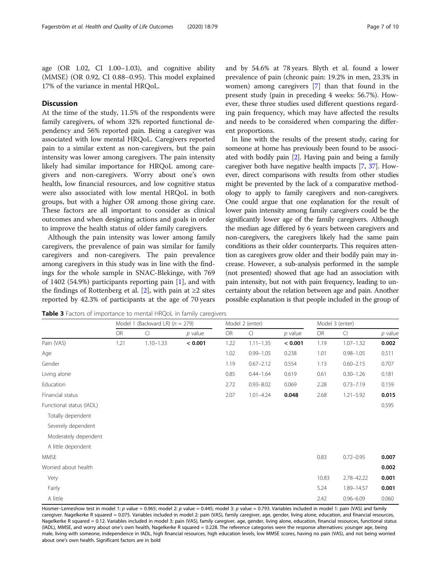<span id="page-6-0"></span>age (OR 1.02, CI 1.00–1.03), and cognitive ability (MMSE) (OR 0.92, CI 0.88–0.95). This model explained 17% of the variance in mental HRQoL.

## **Discussion**

At the time of the study, 11.5% of the respondents were family caregivers, of whom 32% reported functional dependency and 56% reported pain. Being a caregiver was associated with low mental HRQoL. Caregivers reported pain to a similar extent as non-caregivers, but the pain intensity was lower among caregivers. The pain intensity likely had similar importance for HRQoL among caregivers and non-caregivers. Worry about one's own health, low financial resources, and low cognitive status were also associated with low mental HRQoL in both groups, but with a higher OR among those giving care. These factors are all important to consider as clinical outcomes and when designing actions and goals in order to improve the health status of older family caregivers.

Although the pain intensity was lower among family caregivers, the prevalence of pain was similar for family caregivers and non-caregivers. The pain prevalence among caregivers in this study was in line with the findings for the whole sample in SNAC-Blekinge, with 769 of 1402 (54.9%) participants reporting pain  $[1]$  $[1]$ , and with the findings of Rottenberg et al. [[2\]](#page-9-0), with pain at ≥2 sites reported by 42.3% of participants at the age of 70 years and by 54.6% at 78 years. Blyth et al. found a lower prevalence of pain (chronic pain: 19.2% in men, 23.3% in women) among caregivers [\[7](#page-9-0)] than that found in the present study (pain in preceding 4 weeks: 56.7%). However, these three studies used different questions regarding pain frequency, which may have affected the results and needs to be considered when comparing the different proportions.

In line with the results of the present study, caring for someone at home has previously been found to be associated with bodily pain [\[2](#page-9-0)]. Having pain and being a family caregiver both have negative health impacts [[7](#page-9-0), [37](#page-9-0)]. However, direct comparisons with results from other studies might be prevented by the lack of a comparative methodology to apply to family caregivers and non-caregivers. One could argue that one explanation for the result of lower pain intensity among family caregivers could be the significantly lower age of the family caregivers. Although the median age differed by 6 years between caregivers and non-caregivers, the caregivers likely had the same pain conditions as their older counterparts. This requires attention as caregivers grow older and their bodily pain may increase. However, a sub-analysis performed in the sample (not presented) showed that age had an association with pain intensity, but not with pain frequency, leading to uncertainty about the relation between age and pain. Another possible explanation is that people included in the group of

Table 3 Factors of importance to mental HRQoL in family caregivers

|                          |      | Model 1 (Backward LR) ( $n = 279$ ) |           |      | Model 2 (enter) |           |       | Model 3 (enter) |           |  |
|--------------------------|------|-------------------------------------|-----------|------|-----------------|-----------|-------|-----------------|-----------|--|
|                          | OR   | $\subset$                           | $p$ value | OR   | $\overline{C}$  | $p$ value | OR    | $\Box$          | $p$ value |  |
| Pain (VAS)               | 1.21 | $1.10 - 1.33$                       | < 0.001   | 1.22 | $1.11 - 1.35$   | < 0.001   | 1.19  | $1.07 - 1.32$   | 0.002     |  |
| Age                      |      |                                     |           | 1.02 | $0.99 - 1.05$   | 0.238     | 1.01  | $0.98 - 1.05$   | 0.511     |  |
| Gender                   |      |                                     |           | 1.19 | $0.67 - 2.12$   | 0.554     | 1.13  | $0.60 - 2.15$   | 0.707     |  |
| Living alone             |      |                                     |           | 0.85 | $0.44 - 1.64$   | 0.619     | 0.61  | $0.30 - 1.26$   | 0.181     |  |
| Education                |      |                                     |           | 2.72 | $0.93 - 8.02$   | 0.069     | 2.28  | $0.73 - 7.19$   | 0.159     |  |
| Financial status         |      |                                     |           | 2.07 | $1.01 - 4.24$   | 0.048     | 2.68  | $1.21 - 5.92$   | 0.015     |  |
| Functional status (IADL) |      |                                     |           |      |                 |           |       |                 | 0.595     |  |
| Totally dependent        |      |                                     |           |      |                 |           |       |                 |           |  |
| Severely dependent       |      |                                     |           |      |                 |           |       |                 |           |  |
| Moderately dependent     |      |                                     |           |      |                 |           |       |                 |           |  |
| A little dependent       |      |                                     |           |      |                 |           |       |                 |           |  |
| <b>MMSE</b>              |      |                                     |           |      |                 |           | 0.83  | $0.72 - 0.95$   | 0.007     |  |
| Worried about health     |      |                                     |           |      |                 |           |       |                 | 0.002     |  |
| Very                     |      |                                     |           |      |                 |           | 10.83 | 2.78-42.22      | 0.001     |  |
| Fairly                   |      |                                     |           |      |                 |           | 5.24  | 1.89-14.57      | 0.001     |  |
| A little                 |      |                                     |           |      |                 |           | 2.42  | $0.96 - 6.09$   | 0.060     |  |

Hosmer–Lemeshow test in model 1: p value = 0.965; model 2: p value = 0.445; model 3: p value = 0.793. Variables included in model 1: pain (VAS) and family caregiver. Nagelkerke R squared = 0.075. Variables included in model 2: pain (VAS), family caregiver, age, gender, living alone, education, and financial resources, Nagelkerke R squared = 0.12. Variables included in model 3: pain (VAS), family caregiver, age, gender, living alone, education, financial resources, functional status (IADL), MMSE, and worry about one's own health, Nagelkerke R squared = 0.228. The reference categories were the response alternatives: younger age, being male, living with someone, independence in IADL, high financial resources, high education levels, low MMSE scores, having no pain (VAS), and not being worried about one's own health. Significant factors are in bold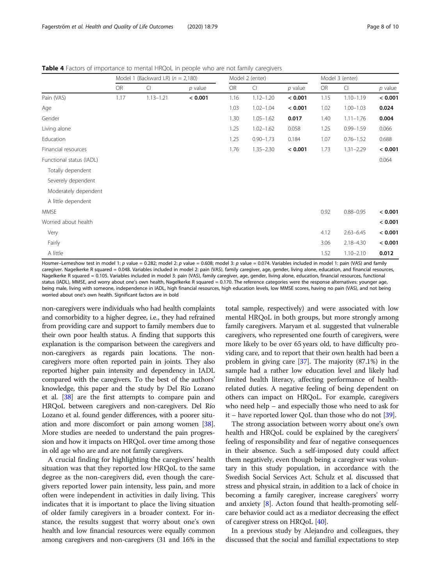<span id="page-7-0"></span>Table 4 Factors of importance to mental HRQoL in people who are not family caregivers

|           |                |           |                                       |                |                 | Model 3 (enter) |               |           |
|-----------|----------------|-----------|---------------------------------------|----------------|-----------------|-----------------|---------------|-----------|
| <b>OR</b> | $\overline{C}$ | $p$ value | <b>OR</b>                             | $\overline{C}$ | $p$ value       | <b>OR</b>       | $\Box$        | $p$ value |
| 1.17      | $1.13 - 1.21$  | < 0.001   | 1.16                                  | $1.12 - 1.20$  | < 0.001         | 1.15            | $1.10 - 1.19$ | < 0.001   |
|           |                |           | 1.03                                  | $1.02 - 1.04$  | < 0.001         | 1.02            | $1.00 - 1.03$ | 0.024     |
|           |                |           | 1.30                                  | $1.05 - 1.62$  | 0.017           | 1.40            | $1.11 - 1.76$ | 0.004     |
|           |                |           | 1.25                                  | $1.02 - 1.62$  | 0.058           | 1.25            | $0.99 - 1.59$ | 0.066     |
|           |                |           | 1.25                                  | $0.90 - 1.73$  | 0.184           | 1.07            | $0.76 - 1.52$ | 0.688     |
|           |                |           | 1.76                                  | $1.35 - 2.30$  | < 0.001         | 1.73            | $1.31 - 2.29$ | < 0.001   |
|           |                |           |                                       |                |                 |                 |               | 0.064     |
|           |                |           |                                       |                |                 |                 |               |           |
|           |                |           |                                       |                |                 |                 |               |           |
|           |                |           |                                       |                |                 |                 |               |           |
|           |                |           |                                       |                |                 |                 |               |           |
|           |                |           |                                       |                |                 | 0.92            | $0.88 - 0.95$ | < 0.001   |
|           |                |           |                                       |                |                 |                 |               | < 0.001   |
|           |                |           |                                       |                |                 | 4.12            | $2.63 - 6.45$ | < 0.001   |
|           |                |           |                                       |                |                 | 3.06            | $2.18 - 4.30$ | < 0.001   |
|           |                |           |                                       |                |                 | 1.52            | $1.10 - 2.10$ | 0.012     |
|           |                |           | Model 1 (Backward LR) ( $n = 2,180$ ) |                | Model 2 (enter) |                 |               |           |

Hosmer–Lemeshow test in model 1: p value = 0.282; model 2: p value = 0.608; model 3: p value = 0.074. Variables included in model 1: pain (VAS) and family caregiver. Nagelkerke R squared = 0.048. Variables included in model 2: pain (VAS), family caregiver, age, gender, living alone, education, and financial resources, Nagelkerke R squared = 0.105. Variables included in model 3: pain (VAS), family caregiver, age, gender, living alone, education, financial resources, functional status (IADL), MMSE, and worry about one's own health, Nagelkerke R squared = 0.170. The reference categories were the response alternatives: younger age, being male, living with someone, independence in IADL, high financial resources, high education levels, low MMSE scores, having no pain (VAS), and not being worried about one's own health. Significant factors are in bold

non-caregivers were individuals who had health complaints and comorbidity to a higher degree, i.e., they had refrained from providing care and support to family members due to their own poor health status. A finding that supports this explanation is the comparison between the caregivers and non-caregivers as regards pain locations. The noncaregivers more often reported pain in joints. They also reported higher pain intensity and dependency in IADL compared with the caregivers. To the best of the authors' knowledge, this paper and the study by Del Río Lozano et al. [[38\]](#page-9-0) are the first attempts to compare pain and HRQoL between caregivers and non-caregivers. Del Río Lozano et al. found gender differences, with a poorer situation and more discomfort or pain among women [\[38](#page-9-0)]. More studies are needed to understand the pain progression and how it impacts on HRQoL over time among those in old age who are and are not family caregivers.

A crucial finding for highlighting the caregivers' health situation was that they reported low HRQoL to the same degree as the non-caregivers did, even though the caregivers reported lower pain intensity, less pain, and more often were independent in activities in daily living. This indicates that it is important to place the living situation of older family caregivers in a broader context. For instance, the results suggest that worry about one's own health and low financial resources were equally common among caregivers and non-caregivers (31 and 16% in the

total sample, respectively) and were associated with low mental HRQoL in both groups, but more strongly among family caregivers. Maryam et al. suggested that vulnerable caregivers, who represented one fourth of caregivers, were more likely to be over 65 years old, to have difficulty providing care, and to report that their own health had been a problem in giving care [\[37\]](#page-9-0). The majority (87.1%) in the sample had a rather low education level and likely had limited health literacy, affecting performance of healthrelated duties. A negative feeling of being dependent on others can impact on HRQoL. For example, caregivers who need help – and especially those who need to ask for it – have reported lower QoL than those who do not [[39](#page-9-0)].

The strong association between worry about one's own health and HRQoL could be explained by the caregivers' feeling of responsibility and fear of negative consequences in their absence. Such a self-imposed duty could affect them negatively, even though being a caregiver was voluntary in this study population, in accordance with the Swedish Social Services Act. Schulz et al. discussed that stress and physical strain, in addition to a lack of choice in becoming a family caregiver, increase caregivers' worry and anxiety [[8](#page-9-0)]. Acton found that health-promoting selfcare behavior could act as a mediator decreasing the effect of caregiver stress on HRQoL [[40](#page-9-0)].

In a previous study by Alejandro and colleagues, they discussed that the social and familial expectations to step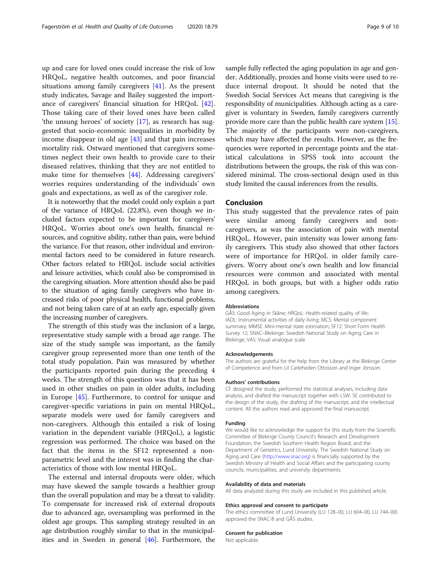up and care for loved ones could increase the risk of low HRQoL, negative health outcomes, and poor financial situations among family caregivers [\[41\]](#page-9-0). As the present study indicates, Savage and Bailey suggested the importance of caregivers' financial situation for HRQoL [\[42](#page-9-0)]. Those taking care of their loved ones have been called 'the unsung heroes' of society [[17](#page-9-0)], as research has suggested that socio-economic inequalities in morbidity by income disappear in old age [\[43](#page-9-0)] and that pain increases mortality risk. Ostward mentioned that caregivers sometimes neglect their own health to provide care to their diseased relatives, thinking that they are not entitled to make time for themselves [[44\]](#page-9-0). Addressing caregivers' worries requires understanding of the individuals' own goals and expectations, as well as of the caregiver role.

It is noteworthy that the model could only explain a part of the variance of HRQoL (22.8%), even though we included factors expected to be important for caregivers' HRQoL. Worries about one's own health, financial resources, and cognitive ability, rather than pain, were behind the variance. For that reason, other individual and environmental factors need to be considered in future research. Other factors related to HRQoL include social activities and leisure activities, which could also be compromised in the caregiving situation. More attention should also be paid to the situation of aging family caregivers who have increased risks of poor physical health, functional problems, and not being taken care of at an early age, especially given the increasing number of caregivers.

The strength of this study was the inclusion of a large, representative study sample with a broad age range. The size of the study sample was important, as the family caregiver group represented more than one tenth of the total study population. Pain was measured by whether the participants reported pain during the preceding 4 weeks. The strength of this question was that it has been used in other studies on pain in older adults, including in Europe [[45\]](#page-9-0). Furthermore, to control for unique and caregiver-specific variations in pain on mental HRQoL, separate models were used for family caregivers and non-caregivers. Although this entailed a risk of losing variation in the dependent variable (HRQoL), a logistic regression was performed. The choice was based on the fact that the items in the SF12 represented a nonparametric level and the interest was in finding the characteristics of those with low mental HRQoL.

The external and internal dropouts were older, which may have skewed the sample towards a healthier group than the overall population and may be a threat to validity. To compensate for increased risk of external dropouts due to advanced age, oversampling was performed in the oldest age groups. This sampling strategy resulted in an age distribution roughly similar to that in the municipalities and in Sweden in general [[46\]](#page-9-0). Furthermore, the sample fully reflected the aging population in age and gender. Additionally, proxies and home visits were used to reduce internal dropout. It should be noted that the Swedish Social Services Act means that caregiving is the responsibility of municipalities. Although acting as a caregiver is voluntary in Sweden, family caregivers currently provide more care than the public health care system [[15](#page-9-0)]. The majority of the participants were non-caregivers, which may have affected the results. However, as the frequencies were reported in percentage points and the statistical calculations in SPSS took into account the distributions between the groups, the risk of this was considered minimal. The cross-sectional design used in this study limited the causal inferences from the results.

### Conclusion

This study suggested that the prevalence rates of pain were similar among family caregivers and noncaregivers, as was the association of pain with mental HRQoL. However, pain intensity was lower among family caregivers. This study also showed that other factors were of importance for HRQoL in older family caregivers. Worry about one's own health and low financial resources were common and associated with mental HRQoL in both groups, but with a higher odds ratio among caregivers.

#### Abbreviations

GÅS: Good Aging in Skåne; HRQoL: Health-related quality of life; IADL: Instrumental activities of daily living; MCS: Mental component summary; MMSE: Mini-mental state estimation; SF12: Short Form Health Survey 12; SNAC–Blekinge: Swedish National Study on Aging Care in Blekinge; VAS: Visual analogue scale

#### Acknowledgements

The authors are grateful for the help from the Library at the Blekinge Center of Competence and from Lil Carleheden Ottosson and Inger Jönsson.

#### Authors' contributions

CF designed the study, performed the statistical analyses, including data analysis, and drafted the manuscript together with LSW. SE contributed to the design of the study, the drafting of the manuscript, and the intellectual content. All the authors read and approved the final manuscript.

#### Funding

We would like to acknowledge the support for this study from the Scientific Committee of Blekinge County Council's Research and Development Foundation, the Swedish Southern Health Region Board, and the Department of Geriatrics, Lund University. The Swedish National Study on Aging and Care [\(http://www.snac.org\)](http://www.snac.org) is financially supported by the Swedish Ministry of Health and Social Affairs and the participating county councils, municipalities, and university departments.

#### Availability of data and materials

All data analyzed during this study are included in this published article.

#### Ethics approval and consent to participate

The ethics committee of Lund University (LU 128–00, LU 604–00, LU 744–00) approved the SNAC-B and GÅS studies.

#### Consent for publication

Not applicable.